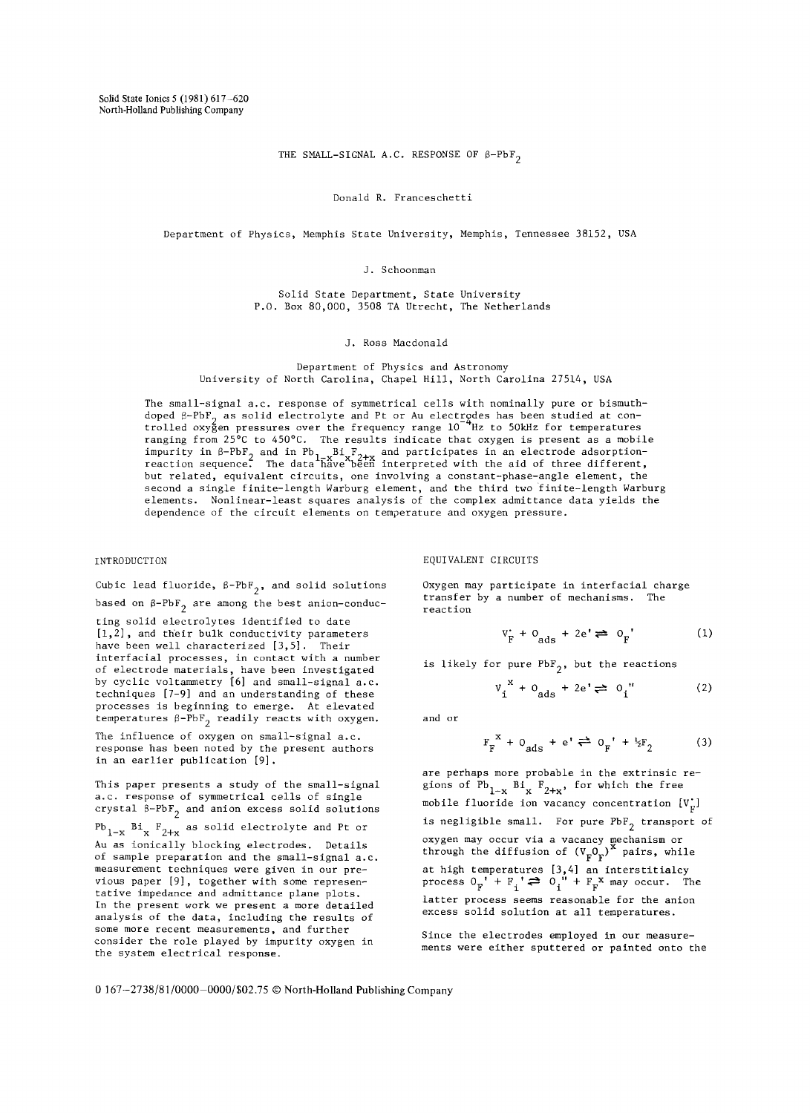THE SMALL-SIGNAL A.C. RESPONSE OF  $\beta-\mathrm{PbF}_2$ 

#### Donald R. Franceschetti

Department of Physics, Memphis State University, Memphis, Tennessee 38152, USA

J. Schoonman

Solid State Department, State University P.O. Box 80,000, 3508 TA Utrecht, The Netherlands

J. Ross Macdonald

Department of Physics and Astronomy University of North Carolina, Chapel Hill, North Carolina 27514, USA

The small-signal a.c. response of symmetrical cells with nominally pure or bismuthdoped  $\beta$ –PbF $_{\alpha}$  as solid electrolyte and Pt or Au electrodes has been studied at controlled oxygen pressures over the frequency range 10 'Hz to 50kHz for temperatures  $\,$ ranging from 25°C to 450°C. The results indicate that oxygen is present as a mobile impurity in β-PbF<sub>2</sub> and in Pb<sub>1-x</sub>Bi F<sub>2+x</sub> and participates in an electrode adsorption-<br>reaction sequence. The data have been interpreted with the aid of three different, but related, equivalent circuits, one involving a constant-phase-angle element, the second a single finite-length Warburg element, and the third two finite-length Warburg elements. Nonlinear-least squares analysis of the complex admittance data yields the dependence of the circuit elements on temperature and oxygen pressure.

# INTRODUCTION

Cubic lead fluoride,  $\beta-\mathrm{PbF}_2$ , and solid solutions based on  $\beta-\mathrm{PbF}_2$  are among the best anion-conduc-

ting solid electrolytes identified to date [1,2], and their bulk conductivity parameters have been well characterized [3,5]. Their interfacial processes, in contact with a number of electrode materials, have been investigated by cyclic voltammetry [6] and small-signal a.c. techniques [7-9] and an understanding of these processes is beginning to emerge. At elevated temperatures  $\beta-\mathrm{PbF}_2$  readily reacts with oxygen.

The influence of oxygen on small-signal a.c. response has been noted by the present authors in an earlier publication [9].

This paper presents a study of the small-signal a.c. response of symmetrical cells of single crystal  $\beta-\mathrm{PbF}_2$  and anion excess solid solutions

 $Pb_{1-x}$   $Bi_x$   $F_{2+x}$  as solid electrolyte and Pt or Au as ionically blocking electrodes. Details of sample preparation and the small-signal a.c. measurement techniques were given in our previous paper [9], together with some representative impedance and admittance plane plots. In the present work we present a more detailed analysis of the data, including the results of some more recent measurements, and further consider the role played by impurity oxygen in the system electrical response.

EQUIVALENT CIRCUITS

Oxygen may participate in interfacial charge transfer by a number of mechanisms. The reaction

$$
V_{F}^{*} + O_{ads} + 2e' \rightleftharpoons O_{F}^{\bullet} \tag{1}
$$

is likely for pure  $PbF_{2}$ , but the reactions

$$
v_i^* + o_{ads} + 2e' \rightleftharpoons o_i" \tag{2}
$$

and or

$$
F_F^{\times} + 0_{ads} + e' \rightleftharpoons 0_F^{\times} + \frac{1}{2}F_2 \tag{3}
$$

are perhaps more probable in the extrinsic regions of  $Pb_{1-x}$  Bi<sub>x</sub>  $F_{2+x}$ , for which the free mobile fluoride ion vacancy concentration  $[V_r]$ is negligible small. For pure  $PbF_2$  transport of oxygen may occur via a vacancy mechanism or through the diffusion of  $(V_n0_n)^T$  pairs, while at high temperatures [3,4] an interstitialcy process  $0_p' + F_i \rightleftharpoons 0_i'' + F_p^X$  may occur. The latter process seems reasonable for the anion excess solid solution at all temperatures.

Since the electrodes employed in our measurements were either sputtered or painted onto the

0 167-2738/81/0000-0000/\$02.75 © North-Holland Publishing Company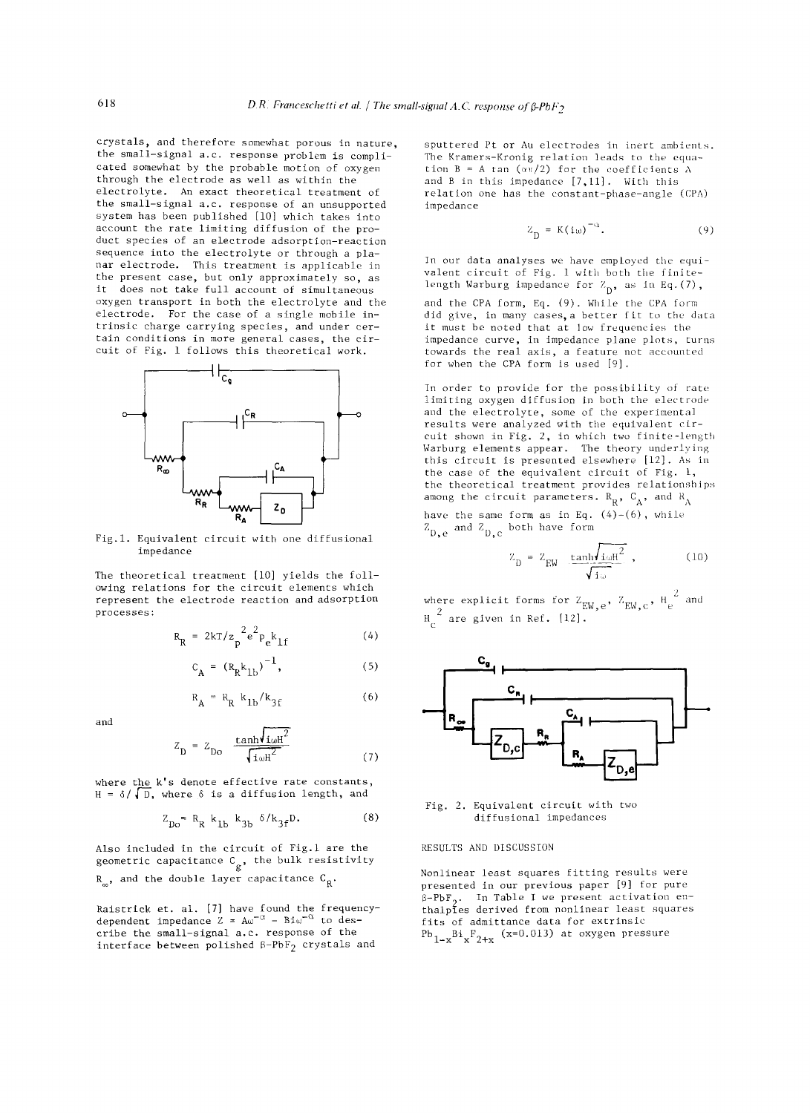crystals, and therefore somewhat porous in nature, the small-signal d.C. response problem is complicated somewhat by the probable motion of oxygen through the electrode as well as within the electrolyte. An exact theoretical treatment of the small-signal d.C. response of an unsupported system has been published [10] which takes into account the rate limiting diffusion of the product species of an electrode adsorption-reaction sequence into the electrolyte or through a planar electrode. This treatment is applicable in the present case, but only approximately so, as it does not take full account of simultaneous oxygen transport in both the electrolyte and the electrode. For the case of a single mobile intrinsic charge carrying species, and under certain conditions in more general cases, the circuit of Fig. 1 follows this theoretical work.



Fig.1. Equivalent circuit with one diffusional impedance

The theoretical treatment [10] yields the following relations for the circuit elements which represent the electrode reaction and adsorption processes:

$$
R_R = 2kT/z_p^2 e^2 p_e k_{1f}
$$
 (4)

$$
c_A = (R_R k_{1b})^{-1}, \t\t(5)
$$

$$
R_A = R_R k_{1b}/k_{3f}
$$
 (6)

and

$$
Z_{\rm D} = Z_{\rm Do} \frac{\tanh l_{\rm 1\omega H}^2}{\sqrt{\tanh^2}} \tag{7}
$$

where the k's denote effective rate constants,  $H = \delta / \sqrt{D}$ , where  $\delta$  is a diffusion length, and

$$
Z_{D0} = R_R k_{1b} k_{3b} \delta / k_{3f} D. \tag{8}
$$

Also included in the circuit of Fig.l are the geometric capacitance  $C_{\rm g}$ , the bulk resistivity  $R_{\alpha}$ , and the double layer capacitance  $C_R$ .

Raistrick et. al. [7] have found the frequencydependent impedance Z = A $\omega^{-\alpha}$  – Bi $\omega^{-\alpha}$  to describe the small-signal d.C. response of the interface between polished  $\beta$ -PbF<sub>2</sub> crystals and

sputtered Pt or Au electrodes in inert ambients. The Kramers-Kronig relation leads to the equation  $B = A \tan (\alpha \pi/2)$  for the coefficients A and B in this impedance [7,11]. With this relation one has the constant-phase-angle (CPA) impedance

$$
Z_{n} = K(i\omega)^{-\alpha}.
$$
 (9)

In our data analyses we have employed the equivalent circuit of Fig. I with both the finitelength Warburg impedance for  $Z_{D}$ , as in Eq.(7),

and the CPA form, Eq. (9). While the CPA form did give, in many cases, a better fit to the data it must be noted that at low frequencies the impedance curve, in impedance plane plots, turns towards the real axis, a feature not accounted for when the CPA form is used [9].

In order to provide for the possibility of rate limiting oxygen diffusion in both the electrode and the electrolyte, some of the experimental results were analyzed with the equivalent circuit shown in Fig. 2, in which two finite-length Warburg elements appear. The theory underlying this circuit is presented elsewhere [12]. As in the case of the equivalent circuit of Fig. I, the theoretical treatment provides relationships among the circuit parameters.  $R_R$ ,  $C_A$ , and  $R_A$ 

have the same form as in Eq.  $(4)-(6)$ , while  $Z_{D,e}$  and  $Z_{D,e}$  both have form

$$
Z_{\rm D} = Z_{\rm EW} \underbrace{\tanh\sqrt{\tanh^2}}_{\sqrt{\tanh^2}} , \qquad (10)
$$

where explicit forms for  $Z_{EW,e}$ ,  $Z_{EW,e}$ ,  $H_e^2$  and  $\mathbf{H}_{\mathbf{C}}$  are given in Ref. [12].



Fig. 2. Equivalent circuit with two diffusional impedances

### RESULTS AND DISCUSSION

Nonlinear least squares fitting results were presented in our previous paper [9] for pure  $\beta-PbF_2$ . In Table I we present activation enthalples derived from nonlinear least squares fits of admittance data for extrinsic Pb<sub>ix</sub>Bi<sub>x</sub>F<sub>2+ x</sub> (x=0.013) at oxygen pressure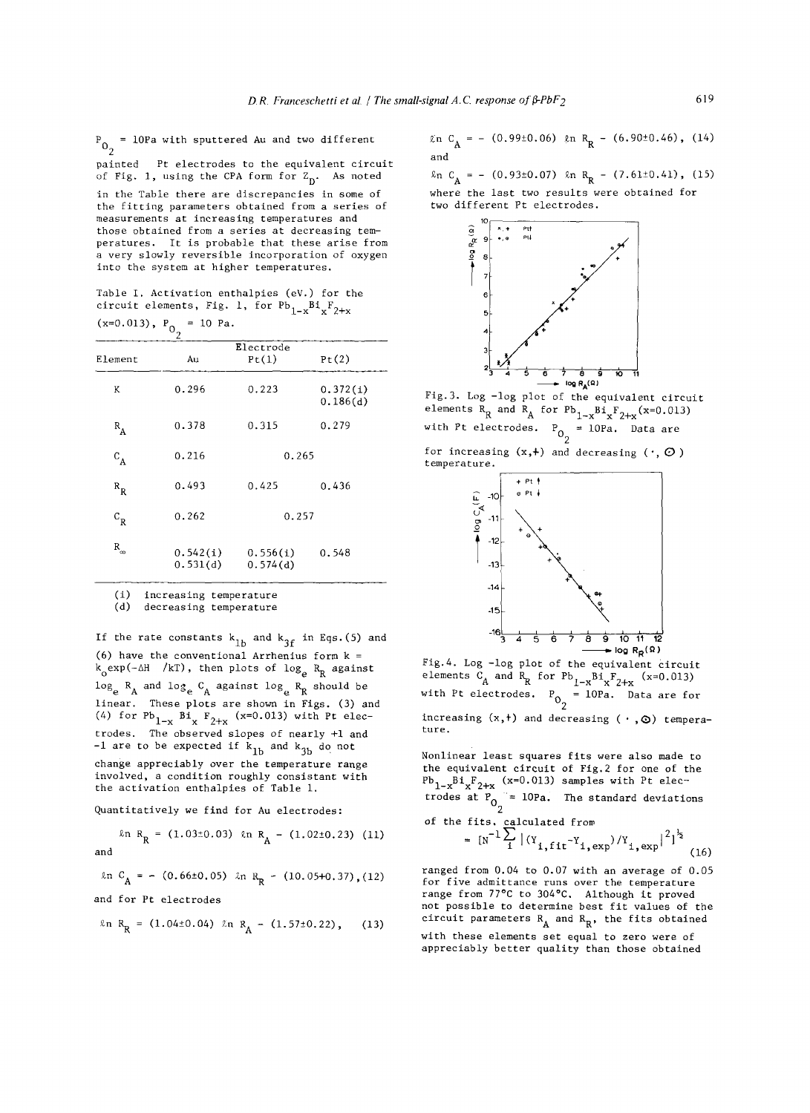$P_{0_2}$  = 10Pa with sputtered Au and two different painted Pt electrodes to the equivalent circuit of Fig. 1, using the CPA form for  $Z_D$ . As noted

in the Table there are discrepancies in some of the fitting parameters obtained from a series of measurements at increasing temperatures and those obtained from a series at decreasing temperatures. It is probable that these arise from a very slowly reversible incorporation of oxygen into the system at higher temperatures.

Table I. Activation enthalpies (eV.) for the circuit elements, Fig. 1, for  $Pb_{1-x}Bi_xF_{2+x}$  $(x=0.013)$ ,  $P_{0_2} = 10$  Pa.

| Element      | Au                   | Pt(1)                | Pt(2)                |  |
|--------------|----------------------|----------------------|----------------------|--|
| K            | 0.296                | 0.223                | 0.372(i)<br>0.186(d) |  |
| $R_{\rm A}$  | 0.378                | 0.315                | 0.279                |  |
| $C_A$        | 0.216                | 0.265                |                      |  |
| $R_R$        | 0.493                | 0.425                | 0.436                |  |
| $\rm c_{_R}$ | 0.262                | 0.257                |                      |  |
| $R_{\infty}$ | 0.542(i)<br>0.531(d) | 0.556(i)<br>0.574(d) | 0.548                |  |

(i) increasing temperature

(d) decreasing temperature

If the rate constants  $k_{1b}$  and  $k_{3f}$  in Eqs.(5) and (6) have the conventional Arrhenius form  $k =$  $k_0$ exp(- $\Delta H$  /kT), then plots of log<sub>e</sub> R<sub>R</sub> against  $log_e$   $R_A$  and  $log_e$   $C_A$  against  $log_e$   $R_R$  should be linear. These plots are shown in Figs. (3) and (4) for  $Pb_{1-x}$   $Bi_x$   $F_{2+x}$  (x=0.013) with Pt electrodes. The observed slopes of nearly +i and -1 are to be expected if  $k_{1b}$  and  $k_{3b}$  do not change appreciably over the temperature range involved, a condition roughly consistant with the activation enthalpies of Table i.

Quantitatively we find for Au electrodes:

$$
\ln R_R = (1.03 \pm 0.03) \ln R_A - (1.02 \pm 0.23) \quad (11)
$$
  
and

 $ln C_A = - (0.66\pm0.05)$   $ln R_R - (10.05+0.37)$ ,(12)

and for Pt electrodes

$$
\ln R_R = (1.04 \pm 0.04) \ln R_A - (1.57 \pm 0.22), \quad (13)
$$

 $\[\text{ln } C_A = - (0.99 \pm 0.06) \quad \text{ln } R_R - (6.90 \pm 0.46) , \quad (14)\]$ and

 $\ln C_A = - (0.93\pm0.07)$   $\ln R_R - (7.61\pm0.41)$ , (15) where the last two results were obtained for two different Pt electrodes.



Fig.3. Log -log plot of the equivalent circuit elements  $R_R$  and  $R_A$  for  $Pb_{1-x}Bi_xF_{2+x}(x=0.013)$ with Pt electrodes.  $P_{0_2} = 10Pa$ . Data are

for increasing  $(x,+)$  and decreasing  $(., \, O)$ temperature.



Fig. 4. Log -log plot of the equivalent circuit elements  $C_A$  and  $R_R$  for  $Pb_{1-x}Bi_xF_{2+x}$  (x=0.013) with Pt electrodes.  $P_0 = 10Pa$ . Data are for increasing  $(x, t)$  and decreasing  $( \cdot , \odot )$  temperature.

Nonlinear least squares fits were also made to the equivalent circuit of Fig.2 for one of the  ${\tt Pb}_{1-x}{\tt B1}_x{\tt F}_{2\perp x}$  (x=0.013) samples with Pt electrodes at  $P_{\Omega}$  = 10Pa. The standard deviations

of the fits, calculated from  

$$
= \sqrt{N^{-1}} \sum_{i}^{N} |y_i - y_j| \sqrt{N}
$$

$$
[\text{N}^{-1}\sum_{i} |(\text{Y}_{i,\text{fit}}^{-\text{Y}}_{i,\text{exp}})/\text{Y}_{i,\text{exp}}|^{2}]^{\frac{1}{2}} \tag{16}
$$

ranged from 0.04 to 0.07 with an average of 0.05 for five admittance runs over the temperature range from 77°C to 304°C, Although it proved not possible to determine best fit values of the circuit parameters  $R_A$  and  $R_R$ , the fits obtained with these elements set equal to zero were of appreciably better quality than those obtained